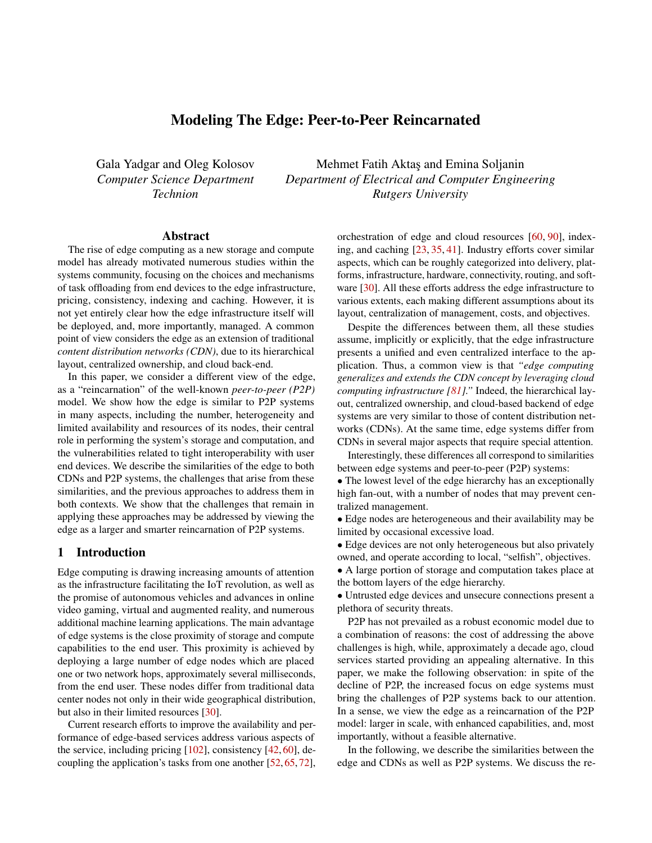# Modeling The Edge: Peer-to-Peer Reincarnated

Gala Yadgar and Oleg Kolosov *Computer Science Department Technion*

Mehmet Fatih Aktaş and Emina Soljanin *Department of Electrical and Computer Engineering Rutgers University*

#### Abstract

The rise of edge computing as a new storage and compute model has already motivated numerous studies within the systems community, focusing on the choices and mechanisms of task offloading from end devices to the edge infrastructure, pricing, consistency, indexing and caching. However, it is not yet entirely clear how the edge infrastructure itself will be deployed, and, more importantly, managed. A common point of view considers the edge as an extension of traditional *content distribution networks (CDN)*, due to its hierarchical layout, centralized ownership, and cloud back-end.

In this paper, we consider a different view of the edge, as a "reincarnation" of the well-known *peer-to-peer (P2P)* model. We show how the edge is similar to P2P systems in many aspects, including the number, heterogeneity and limited availability and resources of its nodes, their central role in performing the system's storage and computation, and the vulnerabilities related to tight interoperability with user end devices. We describe the similarities of the edge to both CDNs and P2P systems, the challenges that arise from these similarities, and the previous approaches to address them in both contexts. We show that the challenges that remain in applying these approaches may be addressed by viewing the edge as a larger and smarter reincarnation of P2P systems.

#### 1 Introduction

Edge computing is drawing increasing amounts of attention as the infrastructure facilitating the IoT revolution, as well as the promise of autonomous vehicles and advances in online video gaming, virtual and augmented reality, and numerous additional machine learning applications. The main advantage of edge systems is the close proximity of storage and compute capabilities to the end user. This proximity is achieved by deploying a large number of edge nodes which are placed one or two network hops, approximately several milliseconds, from the end user. These nodes differ from traditional data center nodes not only in their wide geographical distribution, but also in their limited resources [\[30\]](#page-6-0).

Current research efforts to improve the availability and performance of edge-based services address various aspects of the service, including pricing [\[102\]](#page-9-0), consistency [\[42,](#page-7-0) [60\]](#page-8-0), decoupling the application's tasks from one another [\[52,](#page-7-1) [65,](#page-8-1) [72\]](#page-8-2), orchestration of edge and cloud resources [\[60,](#page-8-0) [90\]](#page-9-1), indexing, and caching [\[23,](#page-6-1) [35,](#page-6-2) [41\]](#page-7-2). Industry efforts cover similar aspects, which can be roughly categorized into delivery, platforms, infrastructure, hardware, connectivity, routing, and software [\[30\]](#page-6-0). All these efforts address the edge infrastructure to various extents, each making different assumptions about its layout, centralization of management, costs, and objectives.

Despite the differences between them, all these studies assume, implicitly or explicitly, that the edge infrastructure presents a unified and even centralized interface to the application. Thus, a common view is that *"edge computing generalizes and extends the CDN concept by leveraging cloud computing infrastructure [\[81\]](#page-9-2)."* Indeed, the hierarchical layout, centralized ownership, and cloud-based backend of edge systems are very similar to those of content distribution networks (CDNs). At the same time, edge systems differ from CDNs in several major aspects that require special attention.

Interestingly, these differences all correspond to similarities between edge systems and peer-to-peer (P2P) systems:

• The lowest level of the edge hierarchy has an exceptionally high fan-out, with a number of nodes that may prevent centralized management.

• Edge nodes are heterogeneous and their availability may be limited by occasional excessive load.

• Edge devices are not only heterogeneous but also privately owned, and operate according to local, "selfish", objectives.

• A large portion of storage and computation takes place at the bottom layers of the edge hierarchy.

• Untrusted edge devices and unsecure connections present a plethora of security threats.

P2P has not prevailed as a robust economic model due to a combination of reasons: the cost of addressing the above challenges is high, while, approximately a decade ago, cloud services started providing an appealing alternative. In this paper, we make the following observation: in spite of the decline of P2P, the increased focus on edge systems must bring the challenges of P2P systems back to our attention. In a sense, we view the edge as a reincarnation of the P2P model: larger in scale, with enhanced capabilities, and, most importantly, without a feasible alternative.

In the following, we describe the similarities between the edge and CDNs as well as P2P systems. We discuss the re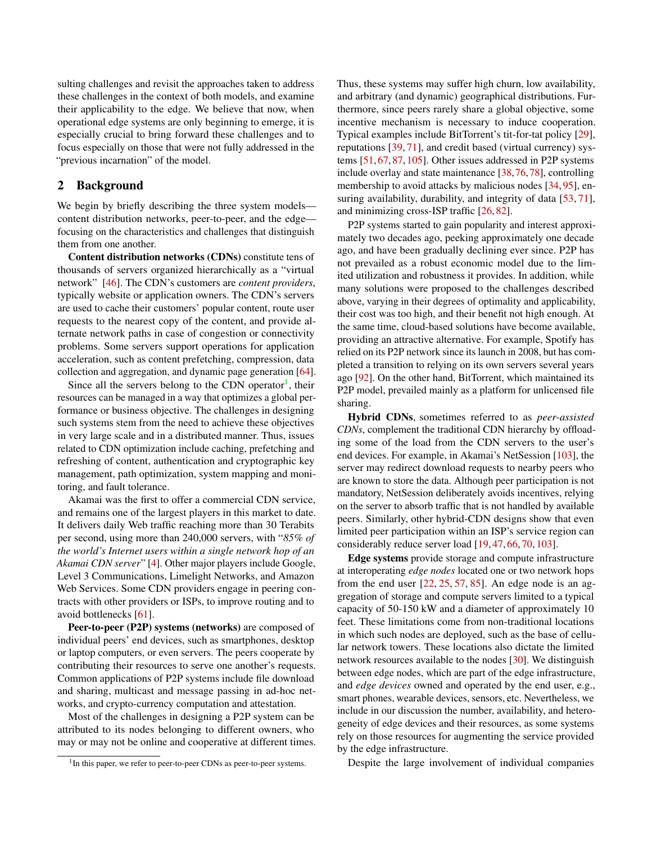sulting challenges and revisit the approaches taken to address these challenges in the context of both models, and examine their applicability to the edge. We believe that now, when operational edge systems are only beginning to emerge, it is especially crucial to bring forward these challenges and to focus especially on those that were not fully addressed in the "previous incarnation" of the model.

## <span id="page-1-1"></span>2 Background

We begin by briefly describing the three system models content distribution networks, peer-to-peer, and the edge focusing on the characteristics and challenges that distinguish them from one another.

Content distribution networks (CDNs) constitute tens of thousands of servers organized hierarchically as a "virtual network" [\[46\]](#page-7-3). The CDN's customers are *content providers*, typically website or application owners. The CDN's servers are used to cache their customers' popular content, route user requests to the nearest copy of the content, and provide alternate network paths in case of congestion or connectivity problems. Some servers support operations for application acceleration, such as content prefetching, compression, data collection and aggregation, and dynamic page generation [\[64\]](#page-8-3).

Since all the servers belong to the CDN operator<sup>[1](#page-1-0)</sup>, their resources can be managed in a way that optimizes a global performance or business objective. The challenges in designing such systems stem from the need to achieve these objectives in very large scale and in a distributed manner. Thus, issues related to CDN optimization include caching, prefetching and refreshing of content, authentication and cryptographic key management, path optimization, system mapping and monitoring, and fault tolerance.

Akamai was the first to offer a commercial CDN service, and remains one of the largest players in this market to date. It delivers daily Web traffic reaching more than 30 Terabits per second, using more than 240,000 servers, with "*85% of the world's Internet users within a single network hop of an Akamai CDN server*" [\[4\]](#page-5-0). Other major players include Google, Level 3 Communications, Limelight Networks, and Amazon Web Services. Some CDN providers engage in peering contracts with other providers or ISPs, to improve routing and to avoid bottlenecks [\[61\]](#page-8-4).

Peer-to-peer (P2P) systems (networks) are composed of individual peers' end devices, such as smartphones, desktop or laptop computers, or even servers. The peers cooperate by contributing their resources to serve one another's requests. Common applications of P2P systems include file download and sharing, multicast and message passing in ad-hoc networks, and crypto-currency computation and attestation.

Most of the challenges in designing a P2P system can be attributed to its nodes belonging to different owners, who may or may not be online and cooperative at different times. Thus, these systems may suffer high churn, low availability, and arbitrary (and dynamic) geographical distributions. Furthermore, since peers rarely share a global objective, some incentive mechanism is necessary to induce cooperation. Typical examples include BitTorrent's tit-for-tat policy [\[29\]](#page-6-3), reputations [\[39,](#page-7-4) [71\]](#page-8-5), and credit based (virtual currency) systems [\[51,](#page-7-5) [67,](#page-8-6) [87,](#page-9-3) [105\]](#page-10-0). Other issues addressed in P2P systems include overlay and state maintenance [\[38,](#page-7-6)[76,](#page-8-7)[78\]](#page-8-8), controlling membership to avoid attacks by malicious nodes [\[34,](#page-6-4) [95\]](#page-9-4), en-suring availability, durability, and integrity of data [\[53,](#page-7-7) [71\]](#page-8-5), and minimizing cross-ISP traffic [\[26,](#page-6-5) [82\]](#page-9-5).

P2P systems started to gain popularity and interest approximately two decades ago, peeking approximately one decade ago, and have been gradually declining ever since. P2P has not prevailed as a robust economic model due to the limited utilization and robustness it provides. In addition, while many solutions were proposed to the challenges described above, varying in their degrees of optimality and applicability, their cost was too high, and their benefit not high enough. At the same time, cloud-based solutions have become available, providing an attractive alternative. For example, Spotify has relied on its P2P network since its launch in 2008, but has completed a transition to relying on its own servers several years ago [\[92\]](#page-9-6). On the other hand, BitTorrent, which maintained its P2P model, prevailed mainly as a platform for unlicensed file sharing.

Hybrid CDNs, sometimes referred to as *peer-assisted CDNs*, complement the traditional CDN hierarchy by offloading some of the load from the CDN servers to the user's end devices. For example, in Akamai's NetSession [\[103\]](#page-9-7), the server may redirect download requests to nearby peers who are known to store the data. Although peer participation is not mandatory, NetSession deliberately avoids incentives, relying on the server to absorb traffic that is not handled by available peers. Similarly, other hybrid-CDN designs show that even limited peer participation within an ISP's service region can considerably reduce server load [\[19,](#page-6-6) [47,](#page-7-8) [66,](#page-8-9) [70,](#page-8-10) [103\]](#page-9-7).

Edge systems provide storage and compute infrastructure at interoperating *edge nodes* located one or two network hops from the end user  $[22, 25, 57, 85]$  $[22, 25, 57, 85]$  $[22, 25, 57, 85]$  $[22, 25, 57, 85]$  $[22, 25, 57, 85]$  $[22, 25, 57, 85]$  $[22, 25, 57, 85]$ . An edge node is an aggregation of storage and compute servers limited to a typical capacity of 50-150 kW and a diameter of approximately 10 feet. These limitations come from non-traditional locations in which such nodes are deployed, such as the base of cellular network towers. These locations also dictate the limited network resources available to the nodes [\[30\]](#page-6-0). We distinguish between edge nodes, which are part of the edge infrastructure, and *edge devices* owned and operated by the end user, e.g., smart phones, wearable devices, sensors, etc. Nevertheless, we include in our discussion the number, availability, and heterogeneity of edge devices and their resources, as some systems rely on those resources for augmenting the service provided by the edge infrastructure.

Despite the large involvement of individual companies

<span id="page-1-0"></span><sup>&</sup>lt;sup>1</sup>In this paper, we refer to peer-to-peer CDNs as peer-to-peer systems.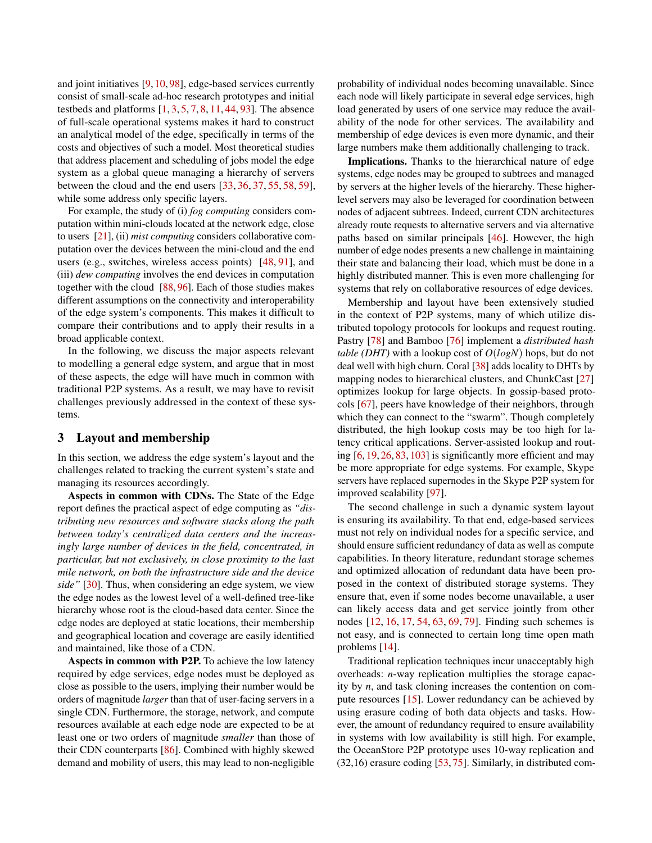and joint initiatives [\[9,](#page-5-1) [10,](#page-5-2) [98\]](#page-9-9), edge-based services currently consist of small-scale ad-hoc research prototypes and initial testbeds and platforms  $[1, 3, 5, 7, 8, 11, 44, 93]$  $[1, 3, 5, 7, 8, 11, 44, 93]$  $[1, 3, 5, 7, 8, 11, 44, 93]$  $[1, 3, 5, 7, 8, 11, 44, 93]$  $[1, 3, 5, 7, 8, 11, 44, 93]$  $[1, 3, 5, 7, 8, 11, 44, 93]$  $[1, 3, 5, 7, 8, 11, 44, 93]$  $[1, 3, 5, 7, 8, 11, 44, 93]$  $[1, 3, 5, 7, 8, 11, 44, 93]$  $[1, 3, 5, 7, 8, 11, 44, 93]$  $[1, 3, 5, 7, 8, 11, 44, 93]$  $[1, 3, 5, 7, 8, 11, 44, 93]$  $[1, 3, 5, 7, 8, 11, 44, 93]$  $[1, 3, 5, 7, 8, 11, 44, 93]$  $[1, 3, 5, 7, 8, 11, 44, 93]$ . The absence of full-scale operational systems makes it hard to construct an analytical model of the edge, specifically in terms of the costs and objectives of such a model. Most theoretical studies that address placement and scheduling of jobs model the edge system as a global queue managing a hierarchy of servers between the cloud and the end users [\[33,](#page-6-9) [36,](#page-6-10) [37,](#page-7-11) [55,](#page-7-12) [58,](#page-8-11) [59\]](#page-8-12), while some address only specific layers.

For example, the study of (i) *fog computing* considers computation within mini-clouds located at the network edge, close to users [\[21\]](#page-6-11), (ii) *mist computing* considers collaborative computation over the devices between the mini-cloud and the end users (e.g., switches, wireless access points) [\[48,](#page-7-13) [91\]](#page-9-11), and (iii) *dew computing* involves the end devices in computation together with the cloud [\[88,](#page-9-12) [96\]](#page-9-13). Each of those studies makes different assumptions on the connectivity and interoperability of the edge system's components. This makes it difficult to compare their contributions and to apply their results in a broad applicable context.

In the following, we discuss the major aspects relevant to modelling a general edge system, and argue that in most of these aspects, the edge will have much in common with traditional P2P systems. As a result, we may have to revisit challenges previously addressed in the context of these systems.

# 3 Layout and membership

In this section, we address the edge system's layout and the challenges related to tracking the current system's state and managing its resources accordingly.

Aspects in common with CDNs. The State of the Edge report defines the practical aspect of edge computing as *"distributing new resources and software stacks along the path between today's centralized data centers and the increasingly large number of devices in the field, concentrated, in particular, but not exclusively, in close proximity to the last mile network, on both the infrastructure side and the device side"* [\[30\]](#page-6-0). Thus, when considering an edge system, we view the edge nodes as the lowest level of a well-defined tree-like hierarchy whose root is the cloud-based data center. Since the edge nodes are deployed at static locations, their membership and geographical location and coverage are easily identified and maintained, like those of a CDN.

Aspects in common with P2P. To achieve the low latency required by edge services, edge nodes must be deployed as close as possible to the users, implying their number would be orders of magnitude *larger* than that of user-facing servers in a single CDN. Furthermore, the storage, network, and compute resources available at each edge node are expected to be at least one or two orders of magnitude *smaller* than those of their CDN counterparts [\[86\]](#page-9-14). Combined with highly skewed demand and mobility of users, this may lead to non-negligible probability of individual nodes becoming unavailable. Since each node will likely participate in several edge services, high load generated by users of one service may reduce the availability of the node for other services. The availability and membership of edge devices is even more dynamic, and their large numbers make them additionally challenging to track.

Implications. Thanks to the hierarchical nature of edge systems, edge nodes may be grouped to subtrees and managed by servers at the higher levels of the hierarchy. These higherlevel servers may also be leveraged for coordination between nodes of adjacent subtrees. Indeed, current CDN architectures already route requests to alternative servers and via alternative paths based on similar principals [\[46\]](#page-7-3). However, the high number of edge nodes presents a new challenge in maintaining their state and balancing their load, which must be done in a highly distributed manner. This is even more challenging for systems that rely on collaborative resources of edge devices.

Membership and layout have been extensively studied in the context of P2P systems, many of which utilize distributed topology protocols for lookups and request routing. Pastry [\[78\]](#page-8-8) and Bamboo [\[76\]](#page-8-7) implement a *distributed hash table (DHT)* with a lookup cost of *O*(*logN*) hops, but do not deal well with high churn. Coral [\[38\]](#page-7-6) adds locality to DHTs by mapping nodes to hierarchical clusters, and ChunkCast [\[27\]](#page-6-12) optimizes lookup for large objects. In gossip-based protocols [\[67\]](#page-8-6), peers have knowledge of their neighbors, through which they can connect to the "swarm". Though completely distributed, the high lookup costs may be too high for latency critical applications. Server-assisted lookup and routing [\[6,](#page-5-9) [19,](#page-6-6) [26,](#page-6-5) [83,](#page-9-15) [103\]](#page-9-7) is significantly more efficient and may be more appropriate for edge systems. For example, Skype servers have replaced supernodes in the Skype P2P system for improved scalability [\[97\]](#page-9-16).

The second challenge in such a dynamic system layout is ensuring its availability. To that end, edge-based services must not rely on individual nodes for a specific service, and should ensure sufficient redundancy of data as well as compute capabilities. In theory literature, redundant storage schemes and optimized allocation of redundant data have been proposed in the context of distributed storage systems. They ensure that, even if some nodes become unavailable, a user can likely access data and get service jointly from other nodes [\[12,](#page-5-10) [16,](#page-6-13) [17,](#page-6-14) [54,](#page-7-14) [63,](#page-8-13) [69,](#page-8-14) [79\]](#page-8-15). Finding such schemes is not easy, and is connected to certain long time open math problems [\[14\]](#page-5-11).

Traditional replication techniques incur unacceptably high overheads: *n*-way replication multiplies the storage capacity by *n*, and task cloning increases the contention on compute resources [\[15\]](#page-6-15). Lower redundancy can be achieved by using erasure coding of both data objects and tasks. However, the amount of redundancy required to ensure availability in systems with low availability is still high. For example, the OceanStore P2P prototype uses 10-way replication and (32,16) erasure coding [\[53,](#page-7-7) [75\]](#page-8-16). Similarly, in distributed com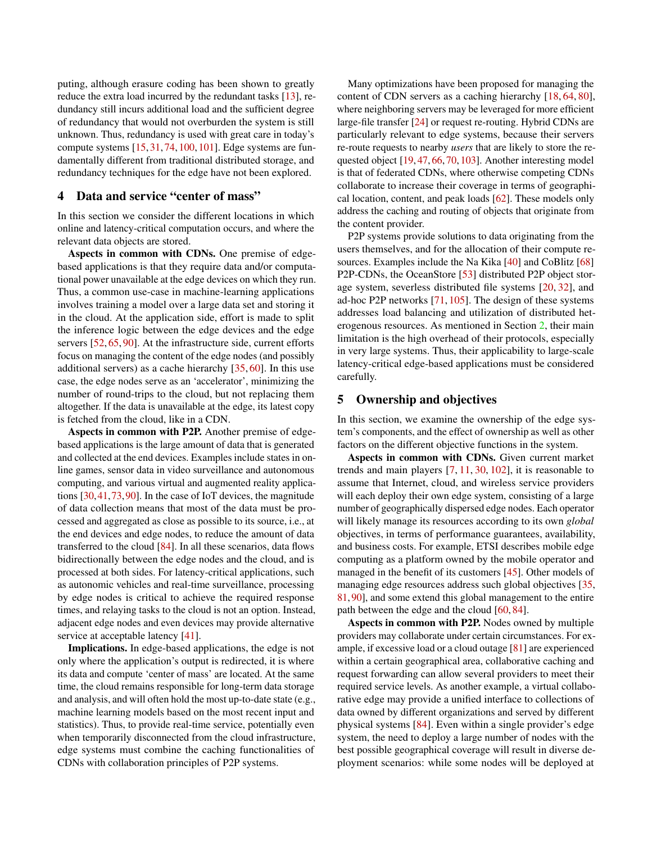puting, although erasure coding has been shown to greatly reduce the extra load incurred by the redundant tasks [\[13\]](#page-5-12), redundancy still incurs additional load and the sufficient degree of redundancy that would not overburden the system is still unknown. Thus, redundancy is used with great care in today's compute systems [\[15,](#page-6-15) [31,](#page-6-16) [74,](#page-8-17) [100,](#page-9-17) [101\]](#page-9-18). Edge systems are fundamentally different from traditional distributed storage, and redundancy techniques for the edge have not been explored.

#### 4 Data and service "center of mass"

In this section we consider the different locations in which online and latency-critical computation occurs, and where the relevant data objects are stored.

Aspects in common with CDNs. One premise of edgebased applications is that they require data and/or computational power unavailable at the edge devices on which they run. Thus, a common use-case in machine-learning applications involves training a model over a large data set and storing it in the cloud. At the application side, effort is made to split the inference logic between the edge devices and the edge servers [\[52,](#page-7-1) [65,](#page-8-1) [90\]](#page-9-1). At the infrastructure side, current efforts focus on managing the content of the edge nodes (and possibly additional servers) as a cache hierarchy [\[35,](#page-6-2) [60\]](#page-8-0). In this use case, the edge nodes serve as an 'accelerator', minimizing the number of round-trips to the cloud, but not replacing them altogether. If the data is unavailable at the edge, its latest copy is fetched from the cloud, like in a CDN.

Aspects in common with P2P. Another premise of edgebased applications is the large amount of data that is generated and collected at the end devices. Examples include states in online games, sensor data in video surveillance and autonomous computing, and various virtual and augmented reality applications [\[30,](#page-6-0)[41,](#page-7-2)[73,](#page-8-18)[90\]](#page-9-1). In the case of IoT devices, the magnitude of data collection means that most of the data must be processed and aggregated as close as possible to its source, i.e., at the end devices and edge nodes, to reduce the amount of data transferred to the cloud [\[84\]](#page-9-19). In all these scenarios, data flows bidirectionally between the edge nodes and the cloud, and is processed at both sides. For latency-critical applications, such as autonomic vehicles and real-time surveillance, processing by edge nodes is critical to achieve the required response times, and relaying tasks to the cloud is not an option. Instead, adjacent edge nodes and even devices may provide alternative service at acceptable latency [\[41\]](#page-7-2).

Implications. In edge-based applications, the edge is not only where the application's output is redirected, it is where its data and compute 'center of mass' are located. At the same time, the cloud remains responsible for long-term data storage and analysis, and will often hold the most up-to-date state (e.g., machine learning models based on the most recent input and statistics). Thus, to provide real-time service, potentially even when temporarily disconnected from the cloud infrastructure, edge systems must combine the caching functionalities of CDNs with collaboration principles of P2P systems.

Many optimizations have been proposed for managing the content of CDN servers as a caching hierarchy [\[18,](#page-6-17) [64,](#page-8-3) [80\]](#page-8-19), where neighboring servers may be leveraged for more efficient large-file transfer [\[24\]](#page-6-18) or request re-routing. Hybrid CDNs are particularly relevant to edge systems, because their servers re-route requests to nearby *users* that are likely to store the requested object [\[19,](#page-6-6) [47,](#page-7-8) [66,](#page-8-9) [70,](#page-8-10) [103\]](#page-9-7). Another interesting model is that of federated CDNs, where otherwise competing CDNs collaborate to increase their coverage in terms of geographical location, content, and peak loads [\[62\]](#page-8-20). These models only address the caching and routing of objects that originate from the content provider.

P2P systems provide solutions to data originating from the users themselves, and for the allocation of their compute resources. Examples include the Na Kika [\[40\]](#page-7-15) and CoBlitz [\[68\]](#page-8-21) P2P-CDNs, the OceanStore [\[53\]](#page-7-7) distributed P2P object storage system, severless distributed file systems [\[20,](#page-6-19) [32\]](#page-6-20), and ad-hoc P2P networks [\[71,](#page-8-5) [105\]](#page-10-0). The design of these systems addresses load balancing and utilization of distributed heterogenous resources. As mentioned in Section [2,](#page-1-1) their main limitation is the high overhead of their protocols, especially in very large systems. Thus, their applicability to large-scale latency-critical edge-based applications must be considered carefully.

# 5 Ownership and objectives

In this section, we examine the ownership of the edge system's components, and the effect of ownership as well as other factors on the different objective functions in the system.

Aspects in common with CDNs. Given current market trends and main players [\[7,](#page-5-6) [11,](#page-5-8) [30,](#page-6-0) [102\]](#page-9-0), it is reasonable to assume that Internet, cloud, and wireless service providers will each deploy their own edge system, consisting of a large number of geographically dispersed edge nodes. Each operator will likely manage its resources according to its own *global* objectives, in terms of performance guarantees, availability, and business costs. For example, ETSI describes mobile edge computing as a platform owned by the mobile operator and managed in the benefit of its customers [\[45\]](#page-7-16). Other models of managing edge resources address such global objectives [\[35,](#page-6-2) [81,](#page-9-2)[90\]](#page-9-1), and some extend this global management to the entire path between the edge and the cloud [\[60,](#page-8-0) [84\]](#page-9-19).

Aspects in common with P2P. Nodes owned by multiple providers may collaborate under certain circumstances. For example, if excessive load or a cloud outage [\[81\]](#page-9-2) are experienced within a certain geographical area, collaborative caching and request forwarding can allow several providers to meet their required service levels. As another example, a virtual collaborative edge may provide a unified interface to collections of data owned by different organizations and served by different physical systems [\[84\]](#page-9-19). Even within a single provider's edge system, the need to deploy a large number of nodes with the best possible geographical coverage will result in diverse deployment scenarios: while some nodes will be deployed at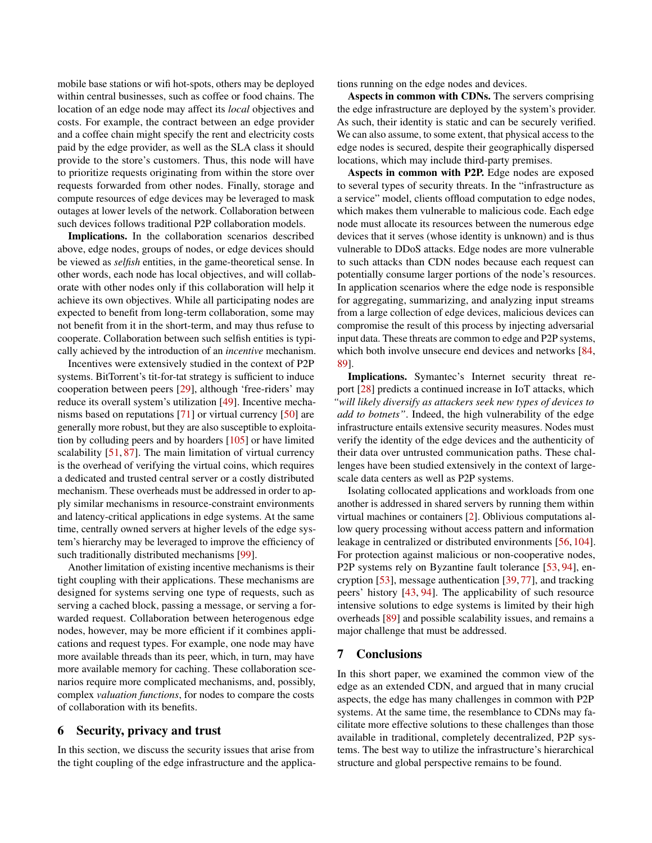mobile base stations or wifi hot-spots, others may be deployed within central businesses, such as coffee or food chains. The location of an edge node may affect its *local* objectives and costs. For example, the contract between an edge provider and a coffee chain might specify the rent and electricity costs paid by the edge provider, as well as the SLA class it should provide to the store's customers. Thus, this node will have to prioritize requests originating from within the store over requests forwarded from other nodes. Finally, storage and compute resources of edge devices may be leveraged to mask outages at lower levels of the network. Collaboration between such devices follows traditional P2P collaboration models.

Implications. In the collaboration scenarios described above, edge nodes, groups of nodes, or edge devices should be viewed as *selfish* entities, in the game-theoretical sense. In other words, each node has local objectives, and will collaborate with other nodes only if this collaboration will help it achieve its own objectives. While all participating nodes are expected to benefit from long-term collaboration, some may not benefit from it in the short-term, and may thus refuse to cooperate. Collaboration between such selfish entities is typically achieved by the introduction of an *incentive* mechanism.

Incentives were extensively studied in the context of P2P systems. BitTorrent's tit-for-tat strategy is sufficient to induce cooperation between peers [\[29\]](#page-6-3), although 'free-riders' may reduce its overall system's utilization [\[49\]](#page-7-17). Incentive mechanisms based on reputations [\[71\]](#page-8-5) or virtual currency [\[50\]](#page-7-18) are generally more robust, but they are also susceptible to exploitation by colluding peers and by hoarders [\[105\]](#page-10-0) or have limited scalability [\[51,](#page-7-5) [87\]](#page-9-3). The main limitation of virtual currency is the overhead of verifying the virtual coins, which requires a dedicated and trusted central server or a costly distributed mechanism. These overheads must be addressed in order to apply similar mechanisms in resource-constraint environments and latency-critical applications in edge systems. At the same time, centrally owned servers at higher levels of the edge system's hierarchy may be leveraged to improve the efficiency of such traditionally distributed mechanisms [\[99\]](#page-9-20).

Another limitation of existing incentive mechanisms is their tight coupling with their applications. These mechanisms are designed for systems serving one type of requests, such as serving a cached block, passing a message, or serving a forwarded request. Collaboration between heterogenous edge nodes, however, may be more efficient if it combines applications and request types. For example, one node may have more available threads than its peer, which, in turn, may have more available memory for caching. These collaboration scenarios require more complicated mechanisms, and, possibly, complex *valuation functions*, for nodes to compare the costs of collaboration with its benefits.

# 6 Security, privacy and trust

In this section, we discuss the security issues that arise from the tight coupling of the edge infrastructure and the applications running on the edge nodes and devices.

Aspects in common with CDNs. The servers comprising the edge infrastructure are deployed by the system's provider. As such, their identity is static and can be securely verified. We can also assume, to some extent, that physical access to the edge nodes is secured, despite their geographically dispersed locations, which may include third-party premises.

Aspects in common with P2P. Edge nodes are exposed to several types of security threats. In the "infrastructure as a service" model, clients offload computation to edge nodes, which makes them vulnerable to malicious code. Each edge node must allocate its resources between the numerous edge devices that it serves (whose identity is unknown) and is thus vulnerable to DDoS attacks. Edge nodes are more vulnerable to such attacks than CDN nodes because each request can potentially consume larger portions of the node's resources. In application scenarios where the edge node is responsible for aggregating, summarizing, and analyzing input streams from a large collection of edge devices, malicious devices can compromise the result of this process by injecting adversarial input data. These threats are common to edge and P2P systems, which both involve unsecure end devices and networks [\[84,](#page-9-19) [89\]](#page-9-21).

Implications. Symantec's Internet security threat report [\[28\]](#page-6-21) predicts a continued increase in IoT attacks, which *"will likely diversify as attackers seek new types of devices to add to botnets"*. Indeed, the high vulnerability of the edge infrastructure entails extensive security measures. Nodes must verify the identity of the edge devices and the authenticity of their data over untrusted communication paths. These challenges have been studied extensively in the context of largescale data centers as well as P2P systems.

Isolating collocated applications and workloads from one another is addressed in shared servers by running them within virtual machines or containers [\[2\]](#page-5-13). Oblivious computations allow query processing without access pattern and information leakage in centralized or distributed environments [\[56,](#page-7-19) [104\]](#page-9-22). For protection against malicious or non-cooperative nodes, P2P systems rely on Byzantine fault tolerance [\[53,](#page-7-7) [94\]](#page-9-23), encryption [\[53\]](#page-7-7), message authentication [\[39,](#page-7-4) [77\]](#page-8-22), and tracking peers' history [\[43,](#page-7-20) [94\]](#page-9-23). The applicability of such resource intensive solutions to edge systems is limited by their high overheads [\[89\]](#page-9-21) and possible scalability issues, and remains a major challenge that must be addressed.

#### 7 Conclusions

In this short paper, we examined the common view of the edge as an extended CDN, and argued that in many crucial aspects, the edge has many challenges in common with P2P systems. At the same time, the resemblance to CDNs may facilitate more effective solutions to these challenges than those available in traditional, completely decentralized, P2P systems. The best way to utilize the infrastructure's hierarchical structure and global perspective remains to be found.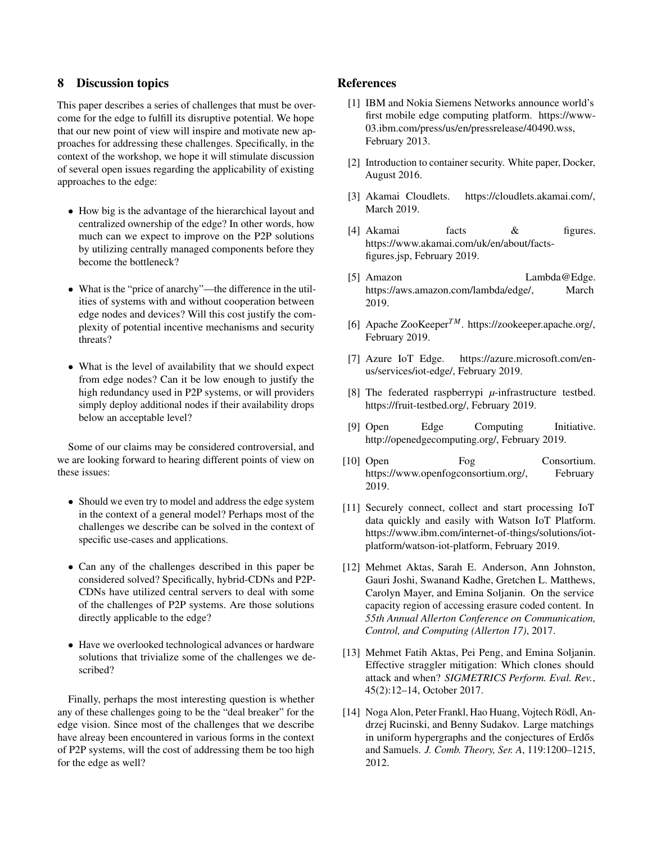# 8 Discussion topics

This paper describes a series of challenges that must be overcome for the edge to fulfill its disruptive potential. We hope that our new point of view will inspire and motivate new approaches for addressing these challenges. Specifically, in the context of the workshop, we hope it will stimulate discussion of several open issues regarding the applicability of existing approaches to the edge:

- How big is the advantage of the hierarchical layout and centralized ownership of the edge? In other words, how much can we expect to improve on the P2P solutions by utilizing centrally managed components before they become the bottleneck?
- What is the "price of anarchy"—the difference in the utilities of systems with and without cooperation between edge nodes and devices? Will this cost justify the complexity of potential incentive mechanisms and security threats?
- What is the level of availability that we should expect from edge nodes? Can it be low enough to justify the high redundancy used in P2P systems, or will providers simply deploy additional nodes if their availability drops below an acceptable level?

Some of our claims may be considered controversial, and we are looking forward to hearing different points of view on these issues:

- Should we even try to model and address the edge system in the context of a general model? Perhaps most of the challenges we describe can be solved in the context of specific use-cases and applications.
- Can any of the challenges described in this paper be considered solved? Specifically, hybrid-CDNs and P2P-CDNs have utilized central servers to deal with some of the challenges of P2P systems. Are those solutions directly applicable to the edge?
- Have we overlooked technological advances or hardware solutions that trivialize some of the challenges we described?

Finally, perhaps the most interesting question is whether any of these challenges going to be the "deal breaker" for the edge vision. Since most of the challenges that we describe have alreay been encountered in various forms in the context of P2P systems, will the cost of addressing them be too high for the edge as well?

# <span id="page-5-3"></span>References

- [1] IBM and Nokia Siemens Networks announce world's first mobile edge computing platform. https://www-03.ibm.com/press/us/en/pressrelease/40490.wss, February 2013.
- <span id="page-5-13"></span>[2] Introduction to container security. White paper, Docker, August 2016.
- <span id="page-5-4"></span>[3] Akamai Cloudlets. https://cloudlets.akamai.com/, March 2019.
- <span id="page-5-0"></span>[4] Akamai facts & figures. https://www.akamai.com/uk/en/about/factsfigures.jsp, February 2019.
- <span id="page-5-5"></span>[5] Amazon Lambda@Edge. https://aws.amazon.com/lambda/edge/, March 2019.
- <span id="page-5-9"></span>[6] Apache ZooKeeper*TM*. https://zookeeper.apache.org/, February 2019.
- <span id="page-5-6"></span>[7] Azure IoT Edge. https://azure.microsoft.com/enus/services/iot-edge/, February 2019.
- <span id="page-5-7"></span>[8] The federated raspberrypi *µ*-infrastructure testbed. https://fruit-testbed.org/, February 2019.
- <span id="page-5-1"></span>[9] Open Edge Computing Initiative. http://openedgecomputing.org/, February 2019.
- <span id="page-5-2"></span>[10] Open Fog Consortium. https://www.openfogconsortium.org/, February 2019.
- <span id="page-5-8"></span>[11] Securely connect, collect and start processing IoT data quickly and easily with Watson IoT Platform. https://www.ibm.com/internet-of-things/solutions/iotplatform/watson-iot-platform, February 2019.
- <span id="page-5-10"></span>[12] Mehmet Aktas, Sarah E. Anderson, Ann Johnston, Gauri Joshi, Swanand Kadhe, Gretchen L. Matthews, Carolyn Mayer, and Emina Soljanin. On the service capacity region of accessing erasure coded content. In *55th Annual Allerton Conference on Communication, Control, and Computing (Allerton 17)*, 2017.
- <span id="page-5-12"></span>[13] Mehmet Fatih Aktas, Pei Peng, and Emina Soljanin. Effective straggler mitigation: Which clones should attack and when? *SIGMETRICS Perform. Eval. Rev.*, 45(2):12–14, October 2017.
- <span id="page-5-11"></span>[14] Noga Alon, Peter Frankl, Hao Huang, Vojtech Rödl, Andrzej Rucinski, and Benny Sudakov. Large matchings in uniform hypergraphs and the conjectures of Erdős and Samuels. *J. Comb. Theory, Ser. A*, 119:1200–1215, 2012.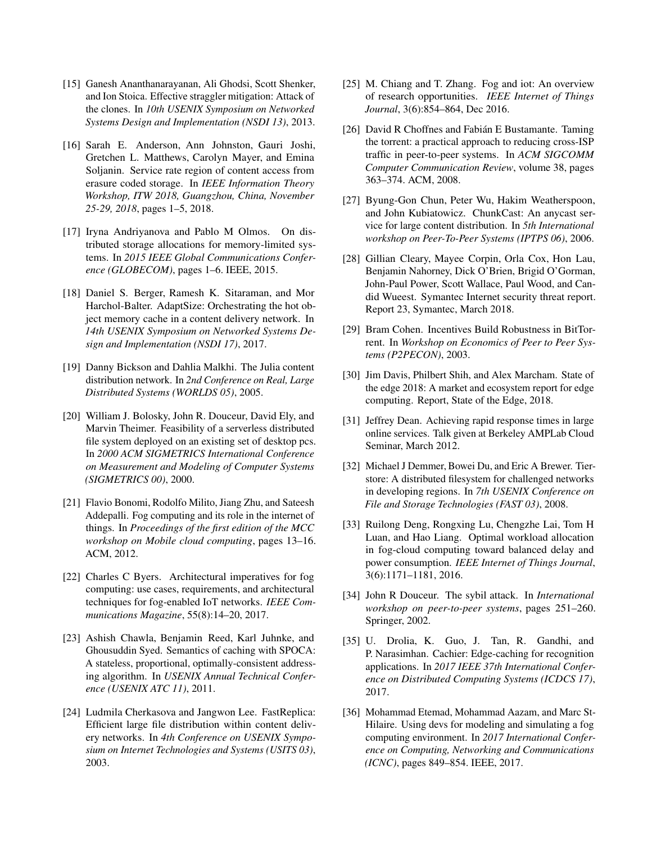- <span id="page-6-15"></span>[15] Ganesh Ananthanarayanan, Ali Ghodsi, Scott Shenker, and Ion Stoica. Effective straggler mitigation: Attack of the clones. In *10th USENIX Symposium on Networked Systems Design and Implementation (NSDI 13)*, 2013.
- <span id="page-6-13"></span>[16] Sarah E. Anderson, Ann Johnston, Gauri Joshi, Gretchen L. Matthews, Carolyn Mayer, and Emina Soljanin. Service rate region of content access from erasure coded storage. In *IEEE Information Theory Workshop, ITW 2018, Guangzhou, China, November 25-29, 2018*, pages 1–5, 2018.
- <span id="page-6-14"></span>[17] Iryna Andriyanova and Pablo M Olmos. On distributed storage allocations for memory-limited systems. In *2015 IEEE Global Communications Conference (GLOBECOM)*, pages 1–6. IEEE, 2015.
- <span id="page-6-17"></span>[18] Daniel S. Berger, Ramesh K. Sitaraman, and Mor Harchol-Balter. AdaptSize: Orchestrating the hot object memory cache in a content delivery network. In *14th USENIX Symposium on Networked Systems Design and Implementation (NSDI 17)*, 2017.
- <span id="page-6-6"></span>[19] Danny Bickson and Dahlia Malkhi. The Julia content distribution network. In *2nd Conference on Real, Large Distributed Systems (WORLDS 05)*, 2005.
- <span id="page-6-19"></span>[20] William J. Bolosky, John R. Douceur, David Ely, and Marvin Theimer. Feasibility of a serverless distributed file system deployed on an existing set of desktop pcs. In *2000 ACM SIGMETRICS International Conference on Measurement and Modeling of Computer Systems (SIGMETRICS 00)*, 2000.
- <span id="page-6-11"></span>[21] Flavio Bonomi, Rodolfo Milito, Jiang Zhu, and Sateesh Addepalli. Fog computing and its role in the internet of things. In *Proceedings of the first edition of the MCC workshop on Mobile cloud computing*, pages 13–16. ACM, 2012.
- <span id="page-6-7"></span>[22] Charles C Byers. Architectural imperatives for fog computing: use cases, requirements, and architectural techniques for fog-enabled IoT networks. *IEEE Communications Magazine*, 55(8):14–20, 2017.
- <span id="page-6-1"></span>[23] Ashish Chawla, Benjamin Reed, Karl Juhnke, and Ghousuddin Syed. Semantics of caching with SPOCA: A stateless, proportional, optimally-consistent addressing algorithm. In *USENIX Annual Technical Conference (USENIX ATC 11)*, 2011.
- <span id="page-6-18"></span>[24] Ludmila Cherkasova and Jangwon Lee. FastReplica: Efficient large file distribution within content delivery networks. In *4th Conference on USENIX Symposium on Internet Technologies and Systems (USITS 03)*, 2003.
- <span id="page-6-8"></span>[25] M. Chiang and T. Zhang. Fog and jot: An overview of research opportunities. *IEEE Internet of Things Journal*, 3(6):854–864, Dec 2016.
- <span id="page-6-5"></span>[26] David R Choffnes and Fabián E Bustamante. Taming the torrent: a practical approach to reducing cross-ISP traffic in peer-to-peer systems. In *ACM SIGCOMM Computer Communication Review*, volume 38, pages 363–374. ACM, 2008.
- <span id="page-6-12"></span>[27] Byung-Gon Chun, Peter Wu, Hakim Weatherspoon, and John Kubiatowicz. ChunkCast: An anycast service for large content distribution. In *5th International workshop on Peer-To-Peer Systems (IPTPS 06)*, 2006.
- <span id="page-6-21"></span>[28] Gillian Cleary, Mayee Corpin, Orla Cox, Hon Lau, Benjamin Nahorney, Dick O'Brien, Brigid O'Gorman, John-Paul Power, Scott Wallace, Paul Wood, and Candid Wueest. Symantec Internet security threat report. Report 23, Symantec, March 2018.
- <span id="page-6-3"></span>[29] Bram Cohen. Incentives Build Robustness in BitTorrent. In *Workshop on Economics of Peer to Peer Systems (P2PECON)*, 2003.
- <span id="page-6-0"></span>[30] Jim Davis, Philbert Shih, and Alex Marcham. State of the edge 2018: A market and ecosystem report for edge computing. Report, State of the Edge, 2018.
- <span id="page-6-16"></span>[31] Jeffrey Dean. Achieving rapid response times in large online services. Talk given at Berkeley AMPLab Cloud Seminar, March 2012.
- <span id="page-6-20"></span>[32] Michael J Demmer, Bowei Du, and Eric A Brewer. Tierstore: A distributed filesystem for challenged networks in developing regions. In *7th USENIX Conference on File and Storage Technologies (FAST 03)*, 2008.
- <span id="page-6-9"></span>[33] Ruilong Deng, Rongxing Lu, Chengzhe Lai, Tom H Luan, and Hao Liang. Optimal workload allocation in fog-cloud computing toward balanced delay and power consumption. *IEEE Internet of Things Journal*, 3(6):1171–1181, 2016.
- <span id="page-6-4"></span>[34] John R Douceur. The sybil attack. In *International workshop on peer-to-peer systems*, pages 251–260. Springer, 2002.
- <span id="page-6-2"></span>[35] U. Drolia, K. Guo, J. Tan, R. Gandhi, and P. Narasimhan. Cachier: Edge-caching for recognition applications. In *2017 IEEE 37th International Conference on Distributed Computing Systems (ICDCS 17)*, 2017.
- <span id="page-6-10"></span>[36] Mohammad Etemad, Mohammad Aazam, and Marc St-Hilaire. Using devs for modeling and simulating a fog computing environment. In *2017 International Conference on Computing, Networking and Communications (ICNC)*, pages 849–854. IEEE, 2017.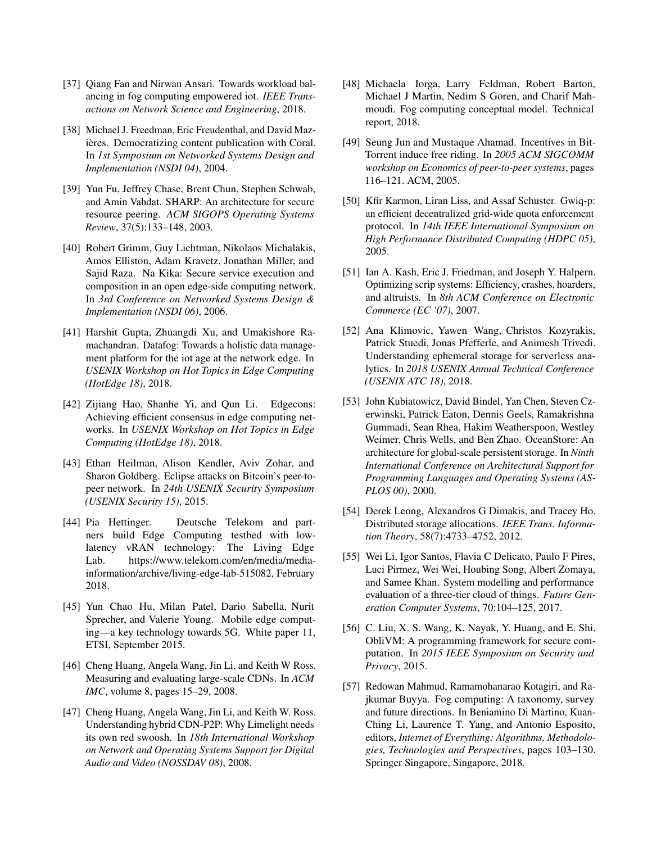- <span id="page-7-11"></span>[37] Oiang Fan and Nirwan Ansari. Towards workload balancing in fog computing empowered iot. *IEEE Transactions on Network Science and Engineering*, 2018.
- <span id="page-7-6"></span>[38] Michael J. Freedman, Eric Freudenthal, and David Mazières. Democratizing content publication with Coral. In *1st Symposium on Networked Systems Design and Implementation (NSDI 04)*, 2004.
- <span id="page-7-4"></span>[39] Yun Fu, Jeffrey Chase, Brent Chun, Stephen Schwab, and Amin Vahdat. SHARP: An architecture for secure resource peering. *ACM SIGOPS Operating Systems Review*, 37(5):133–148, 2003.
- <span id="page-7-15"></span>[40] Robert Grimm, Guy Lichtman, Nikolaos Michalakis, Amos Elliston, Adam Kravetz, Jonathan Miller, and Sajid Raza. Na Kika: Secure service execution and composition in an open edge-side computing network. In *3rd Conference on Networked Systems Design & Implementation (NSDI 06)*, 2006.
- <span id="page-7-2"></span>[41] Harshit Gupta, Zhuangdi Xu, and Umakishore Ramachandran. Datafog: Towards a holistic data management platform for the iot age at the network edge. In *USENIX Workshop on Hot Topics in Edge Computing (HotEdge 18)*, 2018.
- <span id="page-7-0"></span>[42] Zijiang Hao, Shanhe Yi, and Qun Li. Edgecons: Achieving efficient consensus in edge computing networks. In *USENIX Workshop on Hot Topics in Edge Computing (HotEdge 18)*, 2018.
- <span id="page-7-20"></span>[43] Ethan Heilman, Alison Kendler, Aviv Zohar, and Sharon Goldberg. Eclipse attacks on Bitcoin's peer-topeer network. In *24th USENIX Security Symposium (USENIX Security 15)*, 2015.
- <span id="page-7-10"></span>[44] Pia Hettinger. Deutsche Telekom and partners build Edge Computing testbed with lowlatency vRAN technology: The Living Edge Lab. https://www.telekom.com/en/media/mediainformation/archive/living-edge-lab-515082, February 2018.
- <span id="page-7-16"></span>[45] Yun Chao Hu, Milan Patel, Dario Sabella, Nurit Sprecher, and Valerie Young. Mobile edge computing—a key technology towards 5G. White paper 11, ETSI, September 2015.
- <span id="page-7-3"></span>[46] Cheng Huang, Angela Wang, Jin Li, and Keith W Ross. Measuring and evaluating large-scale CDNs. In *ACM IMC*, volume 8, pages 15–29, 2008.
- <span id="page-7-8"></span>[47] Cheng Huang, Angela Wang, Jin Li, and Keith W. Ross. Understanding hybrid CDN-P2P: Why Limelight needs its own red swoosh. In *18th International Workshop on Network and Operating Systems Support for Digital Audio and Video (NOSSDAV 08)*, 2008.
- <span id="page-7-13"></span>[48] Michaela Iorga, Larry Feldman, Robert Barton, Michael J Martin, Nedim S Goren, and Charif Mahmoudi. Fog computing conceptual model. Technical report, 2018.
- <span id="page-7-17"></span>[49] Seung Jun and Mustaque Ahamad. Incentives in Bit-Torrent induce free riding. In *2005 ACM SIGCOMM workshop on Economics of peer-to-peer systems*, pages 116–121. ACM, 2005.
- <span id="page-7-18"></span>[50] Kfir Karmon, Liran Liss, and Assaf Schuster. Gwiq-p: an efficient decentralized grid-wide quota enforcement protocol. In *14th IEEE International Symposium on High Performance Distributed Computing (HDPC 05)*, 2005.
- <span id="page-7-5"></span>[51] Ian A. Kash, Eric J. Friedman, and Joseph Y. Halpern. Optimizing scrip systems: Efficiency, crashes, hoarders, and altruists. In *8th ACM Conference on Electronic Commerce (EC '07)*, 2007.
- <span id="page-7-1"></span>[52] Ana Klimovic, Yawen Wang, Christos Kozyrakis, Patrick Stuedi, Jonas Pfefferle, and Animesh Trivedi. Understanding ephemeral storage for serverless analytics. In *2018 USENIX Annual Technical Conference (USENIX ATC 18)*, 2018.
- <span id="page-7-7"></span>[53] John Kubiatowicz, David Bindel, Yan Chen, Steven Czerwinski, Patrick Eaton, Dennis Geels, Ramakrishna Gummadi, Sean Rhea, Hakim Weatherspoon, Westley Weimer, Chris Wells, and Ben Zhao. OceanStore: An architecture for global-scale persistent storage. In *Ninth International Conference on Architectural Support for Programming Languages and Operating Systems (AS-PLOS 00)*, 2000.
- <span id="page-7-14"></span>[54] Derek Leong, Alexandros G Dimakis, and Tracey Ho. Distributed storage allocations. *IEEE Trans. Information Theory*, 58(7):4733–4752, 2012.
- <span id="page-7-12"></span>[55] Wei Li, Igor Santos, Flavia C Delicato, Paulo F Pires, Luci Pirmez, Wei Wei, Houbing Song, Albert Zomaya, and Samee Khan. System modelling and performance evaluation of a three-tier cloud of things. *Future Generation Computer Systems*, 70:104–125, 2017.
- <span id="page-7-19"></span>[56] C. Liu, X. S. Wang, K. Nayak, Y. Huang, and E. Shi. ObliVM: A programming framework for secure computation. In *2015 IEEE Symposium on Security and Privacy*, 2015.
- <span id="page-7-9"></span>[57] Redowan Mahmud, Ramamohanarao Kotagiri, and Rajkumar Buyya. Fog computing: A taxonomy, survey and future directions. In Beniamino Di Martino, Kuan-Ching Li, Laurence T. Yang, and Antonio Esposito, editors, *Internet of Everything: Algorithms, Methodologies, Technologies and Perspectives*, pages 103–130. Springer Singapore, Singapore, 2018.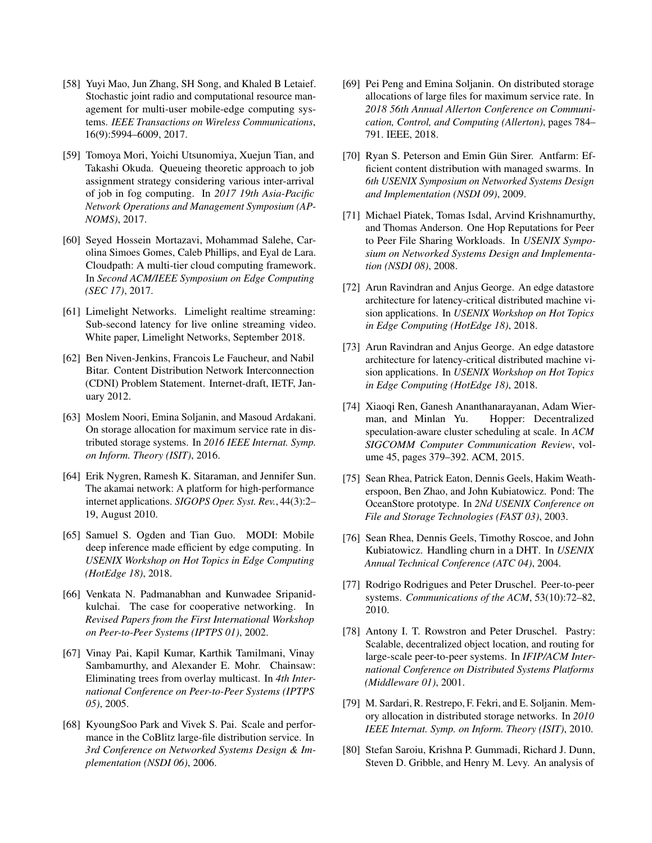- <span id="page-8-11"></span>[58] Yuyi Mao, Jun Zhang, SH Song, and Khaled B Letaief. Stochastic joint radio and computational resource management for multi-user mobile-edge computing systems. *IEEE Transactions on Wireless Communications*, 16(9):5994–6009, 2017.
- <span id="page-8-12"></span>[59] Tomoya Mori, Yoichi Utsunomiya, Xuejun Tian, and Takashi Okuda. Queueing theoretic approach to job assignment strategy considering various inter-arrival of job in fog computing. In *2017 19th Asia-Pacific Network Operations and Management Symposium (AP-NOMS)*, 2017.
- <span id="page-8-0"></span>[60] Seyed Hossein Mortazavi, Mohammad Salehe, Carolina Simoes Gomes, Caleb Phillips, and Eyal de Lara. Cloudpath: A multi-tier cloud computing framework. In *Second ACM/IEEE Symposium on Edge Computing (SEC 17)*, 2017.
- <span id="page-8-4"></span>[61] Limelight Networks. Limelight realtime streaming: Sub-second latency for live online streaming video. White paper, Limelight Networks, September 2018.
- <span id="page-8-20"></span>[62] Ben Niven-Jenkins, Francois Le Faucheur, and Nabil Bitar. Content Distribution Network Interconnection (CDNI) Problem Statement. Internet-draft, IETF, January 2012.
- <span id="page-8-13"></span>[63] Moslem Noori, Emina Soljanin, and Masoud Ardakani. On storage allocation for maximum service rate in distributed storage systems. In *2016 IEEE Internat. Symp. on Inform. Theory (ISIT)*, 2016.
- <span id="page-8-3"></span>[64] Erik Nygren, Ramesh K. Sitaraman, and Jennifer Sun. The akamai network: A platform for high-performance internet applications. *SIGOPS Oper. Syst. Rev.*, 44(3):2– 19, August 2010.
- <span id="page-8-1"></span>[65] Samuel S. Ogden and Tian Guo. MODI: Mobile deep inference made efficient by edge computing. In *USENIX Workshop on Hot Topics in Edge Computing (HotEdge 18)*, 2018.
- <span id="page-8-9"></span>[66] Venkata N. Padmanabhan and Kunwadee Sripanidkulchai. The case for cooperative networking. In *Revised Papers from the First International Workshop on Peer-to-Peer Systems (IPTPS 01)*, 2002.
- <span id="page-8-6"></span>[67] Vinay Pai, Kapil Kumar, Karthik Tamilmani, Vinay Sambamurthy, and Alexander E. Mohr. Chainsaw: Eliminating trees from overlay multicast. In *4th International Conference on Peer-to-Peer Systems (IPTPS 05)*, 2005.
- <span id="page-8-21"></span>[68] KyoungSoo Park and Vivek S. Pai. Scale and performance in the CoBlitz large-file distribution service. In *3rd Conference on Networked Systems Design & Implementation (NSDI 06)*, 2006.
- <span id="page-8-14"></span>[69] Pei Peng and Emina Soljanin. On distributed storage allocations of large files for maximum service rate. In *2018 56th Annual Allerton Conference on Communication, Control, and Computing (Allerton)*, pages 784– 791. IEEE, 2018.
- <span id="page-8-10"></span>[70] Ryan S. Peterson and Emin Gün Sirer. Antfarm: Efficient content distribution with managed swarms. In *6th USENIX Symposium on Networked Systems Design and Implementation (NSDI 09)*, 2009.
- <span id="page-8-5"></span>[71] Michael Piatek, Tomas Isdal, Arvind Krishnamurthy, and Thomas Anderson. One Hop Reputations for Peer to Peer File Sharing Workloads. In *USENIX Symposium on Networked Systems Design and Implementation (NSDI 08)*, 2008.
- <span id="page-8-2"></span>[72] Arun Ravindran and Anjus George. An edge datastore architecture for latency-critical distributed machine vision applications. In *USENIX Workshop on Hot Topics in Edge Computing (HotEdge 18)*, 2018.
- <span id="page-8-18"></span>[73] Arun Ravindran and Anjus George. An edge datastore architecture for latency-critical distributed machine vision applications. In *USENIX Workshop on Hot Topics in Edge Computing (HotEdge 18)*, 2018.
- <span id="page-8-17"></span>[74] Xiaoqi Ren, Ganesh Ananthanarayanan, Adam Wierman, and Minlan Yu. Hopper: Decentralized speculation-aware cluster scheduling at scale. In *ACM SIGCOMM Computer Communication Review*, volume 45, pages 379–392. ACM, 2015.
- <span id="page-8-16"></span>[75] Sean Rhea, Patrick Eaton, Dennis Geels, Hakim Weatherspoon, Ben Zhao, and John Kubiatowicz. Pond: The OceanStore prototype. In *2Nd USENIX Conference on File and Storage Technologies (FAST 03)*, 2003.
- <span id="page-8-7"></span>[76] Sean Rhea, Dennis Geels, Timothy Roscoe, and John Kubiatowicz. Handling churn in a DHT. In *USENIX Annual Technical Conference (ATC 04)*, 2004.
- <span id="page-8-22"></span>[77] Rodrigo Rodrigues and Peter Druschel. Peer-to-peer systems. *Communications of the ACM*, 53(10):72–82, 2010.
- <span id="page-8-8"></span>[78] Antony I. T. Rowstron and Peter Druschel. Pastry: Scalable, decentralized object location, and routing for large-scale peer-to-peer systems. In *IFIP/ACM International Conference on Distributed Systems Platforms (Middleware 01)*, 2001.
- <span id="page-8-15"></span>[79] M. Sardari, R. Restrepo, F. Fekri, and E. Soljanin. Memory allocation in distributed storage networks. In *2010 IEEE Internat. Symp. on Inform. Theory (ISIT)*, 2010.
- <span id="page-8-19"></span>[80] Stefan Saroiu, Krishna P. Gummadi, Richard J. Dunn, Steven D. Gribble, and Henry M. Levy. An analysis of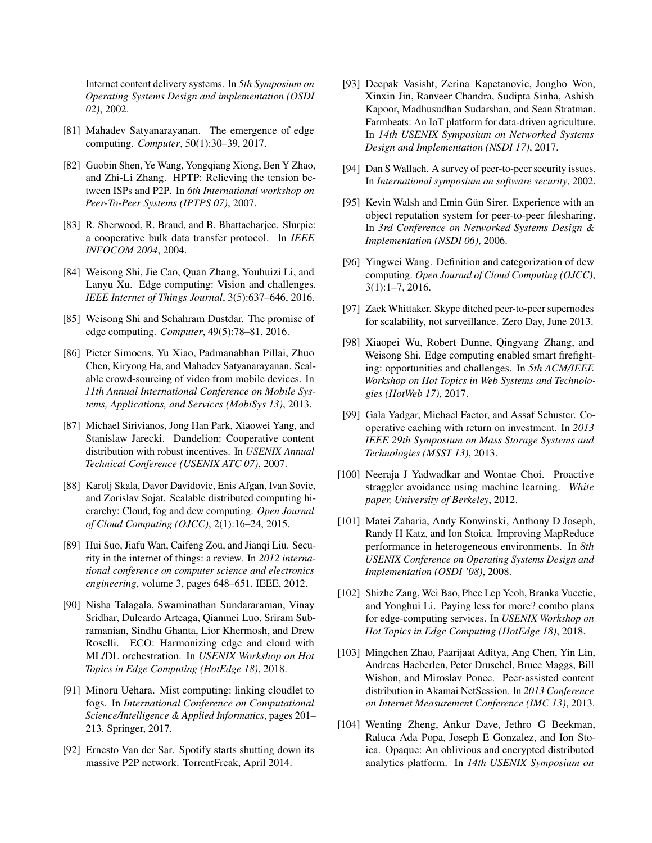Internet content delivery systems. In *5th Symposium on Operating Systems Design and implementation (OSDI 02)*, 2002.

- <span id="page-9-2"></span>[81] Mahadev Satyanarayanan. The emergence of edge computing. *Computer*, 50(1):30–39, 2017.
- <span id="page-9-5"></span>[82] Guobin Shen, Ye Wang, Yongqiang Xiong, Ben Y Zhao, and Zhi-Li Zhang. HPTP: Relieving the tension between ISPs and P2P. In *6th International workshop on Peer-To-Peer Systems (IPTPS 07)*, 2007.
- <span id="page-9-15"></span>[83] R. Sherwood, R. Braud, and B. Bhattachariee. Slurpie: a cooperative bulk data transfer protocol. In *IEEE INFOCOM 2004*, 2004.
- <span id="page-9-19"></span>[84] Weisong Shi, Jie Cao, Quan Zhang, Youhuizi Li, and Lanyu Xu. Edge computing: Vision and challenges. *IEEE Internet of Things Journal*, 3(5):637–646, 2016.
- <span id="page-9-8"></span>[85] Weisong Shi and Schahram Dustdar. The promise of edge computing. *Computer*, 49(5):78–81, 2016.
- <span id="page-9-14"></span>[86] Pieter Simoens, Yu Xiao, Padmanabhan Pillai, Zhuo Chen, Kiryong Ha, and Mahadev Satyanarayanan. Scalable crowd-sourcing of video from mobile devices. In *11th Annual International Conference on Mobile Systems, Applications, and Services (MobiSys 13)*, 2013.
- <span id="page-9-3"></span>[87] Michael Sirivianos, Jong Han Park, Xiaowei Yang, and Stanislaw Jarecki. Dandelion: Cooperative content distribution with robust incentives. In *USENIX Annual Technical Conference (USENIX ATC 07)*, 2007.
- <span id="page-9-12"></span>[88] Karolj Skala, Davor Davidovic, Enis Afgan, Ivan Sovic, and Zorislav Sojat. Scalable distributed computing hierarchy: Cloud, fog and dew computing. *Open Journal of Cloud Computing (OJCC)*, 2(1):16–24, 2015.
- <span id="page-9-21"></span>[89] Hui Suo, Jiafu Wan, Caifeng Zou, and Jianqi Liu. Security in the internet of things: a review. In *2012 international conference on computer science and electronics engineering*, volume 3, pages 648–651. IEEE, 2012.
- <span id="page-9-1"></span>[90] Nisha Talagala, Swaminathan Sundararaman, Vinay Sridhar, Dulcardo Arteaga, Qianmei Luo, Sriram Subramanian, Sindhu Ghanta, Lior Khermosh, and Drew Roselli. ECO: Harmonizing edge and cloud with ML/DL orchestration. In *USENIX Workshop on Hot Topics in Edge Computing (HotEdge 18)*, 2018.
- <span id="page-9-11"></span>[91] Minoru Uehara. Mist computing: linking cloudlet to fogs. In *International Conference on Computational Science/Intelligence & Applied Informatics*, pages 201– 213. Springer, 2017.
- <span id="page-9-6"></span>[92] Ernesto Van der Sar. Spotify starts shutting down its massive P2P network. TorrentFreak, April 2014.
- <span id="page-9-10"></span>[93] Deepak Vasisht, Zerina Kapetanovic, Jongho Won, Xinxin Jin, Ranveer Chandra, Sudipta Sinha, Ashish Kapoor, Madhusudhan Sudarshan, and Sean Stratman. Farmbeats: An IoT platform for data-driven agriculture. In *14th USENIX Symposium on Networked Systems Design and Implementation (NSDI 17)*, 2017.
- <span id="page-9-23"></span>[94] Dan S Wallach. A survey of peer-to-peer security issues. In *International symposium on software security*, 2002.
- <span id="page-9-4"></span>[95] Kevin Walsh and Emin Gün Sirer. Experience with an object reputation system for peer-to-peer filesharing. In *3rd Conference on Networked Systems Design & Implementation (NSDI 06)*, 2006.
- <span id="page-9-13"></span>[96] Yingwei Wang. Definition and categorization of dew computing. *Open Journal of Cloud Computing (OJCC)*, 3(1):1–7, 2016.
- <span id="page-9-16"></span>[97] Zack Whittaker. Skype ditched peer-to-peer supernodes for scalability, not surveillance. Zero Day, June 2013.
- <span id="page-9-9"></span>[98] Xiaopei Wu, Robert Dunne, Qingyang Zhang, and Weisong Shi. Edge computing enabled smart firefighting: opportunities and challenges. In *5th ACM/IEEE Workshop on Hot Topics in Web Systems and Technologies (HotWeb 17)*, 2017.
- <span id="page-9-20"></span>[99] Gala Yadgar, Michael Factor, and Assaf Schuster. Cooperative caching with return on investment. In *2013 IEEE 29th Symposium on Mass Storage Systems and Technologies (MSST 13)*, 2013.
- <span id="page-9-17"></span>[100] Neeraja J Yadwadkar and Wontae Choi. Proactive straggler avoidance using machine learning. *White paper, University of Berkeley*, 2012.
- <span id="page-9-18"></span>[101] Matei Zaharia, Andy Konwinski, Anthony D Joseph, Randy H Katz, and Ion Stoica. Improving MapReduce performance in heterogeneous environments. In *8th USENIX Conference on Operating Systems Design and Implementation (OSDI '08)*, 2008.
- <span id="page-9-0"></span>[102] Shizhe Zang, Wei Bao, Phee Lep Yeoh, Branka Vucetic, and Yonghui Li. Paying less for more? combo plans for edge-computing services. In *USENIX Workshop on Hot Topics in Edge Computing (HotEdge 18)*, 2018.
- <span id="page-9-7"></span>[103] Mingchen Zhao, Paarijaat Aditya, Ang Chen, Yin Lin, Andreas Haeberlen, Peter Druschel, Bruce Maggs, Bill Wishon, and Miroslav Ponec. Peer-assisted content distribution in Akamai NetSession. In *2013 Conference on Internet Measurement Conference (IMC 13)*, 2013.
- <span id="page-9-22"></span>[104] Wenting Zheng, Ankur Dave, Jethro G Beekman, Raluca Ada Popa, Joseph E Gonzalez, and Ion Stoica. Opaque: An oblivious and encrypted distributed analytics platform. In *14th USENIX Symposium on*